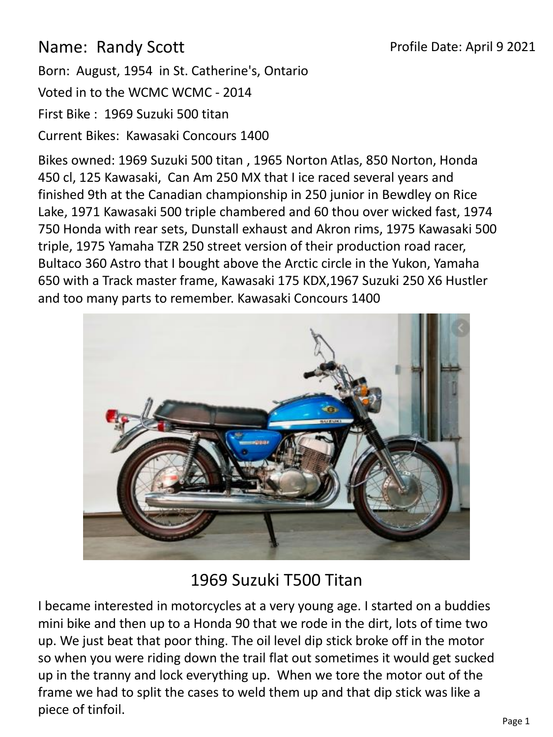## Name: Randy Scott

Born: August, 1954 in St. Catherine's, Ontario

Voted in to the WCMC WCMC - 2014

First Bike : 1969 Suzuki 500 titan

Current Bikes: Kawasaki Concours 1400

Bikes owned: 1969 Suzuki 500 titan , 1965 Norton Atlas, 850 Norton, Honda 450 cl, 125 Kawasaki, Can Am 250 MX that I ice raced several years and finished 9th at the Canadian championship in 250 junior in Bewdley on Rice Lake, 1971 Kawasaki 500 triple chambered and 60 thou over wicked fast, 1974 750 Honda with rear sets, Dunstall exhaust and Akron rims, 1975 Kawasaki 500 triple, 1975 Yamaha TZR 250 street version of their production road racer, Bultaco 360 Astro that I bought above the Arctic circle in the Yukon, Yamaha 650 with a Track master frame, Kawasaki 175 KDX,1967 Suzuki 250 X6 Hustler and too many parts to remember. Kawasaki Concours 1400



## 1969 Suzuki T500 Titan

I became interested in motorcycles at a very young age. I started on a buddies mini bike and then up to a Honda 90 that we rode in the dirt, lots of time two up. We just beat that poor thing. The oil level dip stick broke off in the motor so when you were riding down the trail flat out sometimes it would get sucked up in the tranny and lock everything up. When we tore the motor out of the frame we had to split the cases to weld them up and that dip stick was like a piece of tinfoil.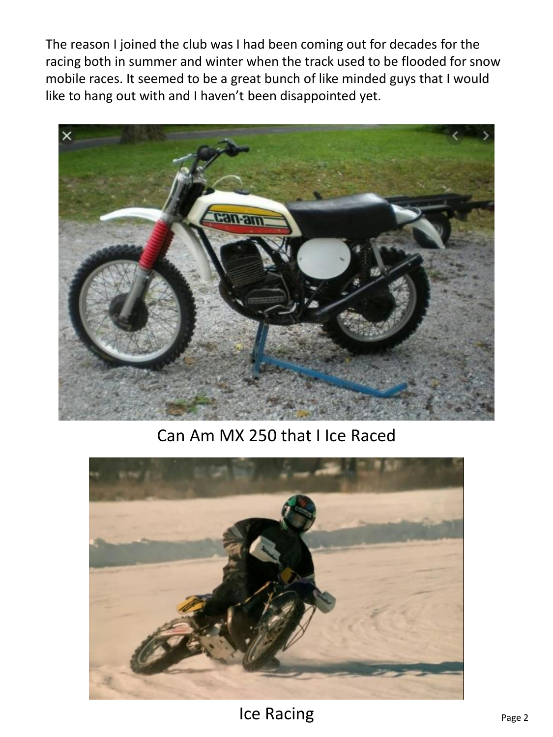The reason I joined the club was I had been coming out for decades for the racing both in summer and winter when the track used to be flooded for snow mobile races. It seemed to be a great bunch of like minded guys that I would like to hang out with and I haven't been disappointed yet.



Can Am MX 250 that I Ice Raced



Ice Racing